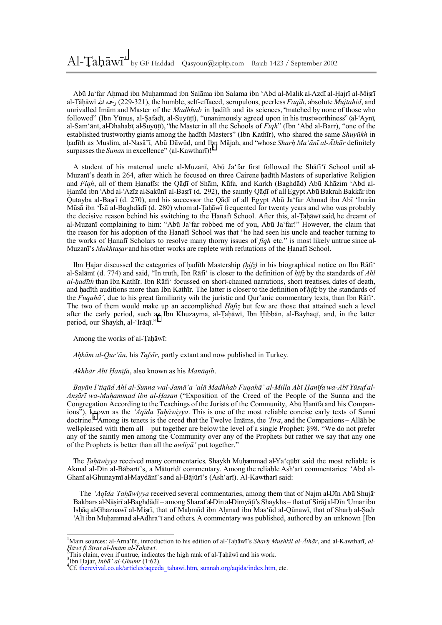Abū Ja'far Ahmad ibn Muhammad ibn Salāma ibn Salama ibn 'Abd al-Malik al-Azdī al-Hajrī al-Misrī al-T.āh.āwī ا رحمه) 229-321(, the humble, self-effaced, scrupulous, peerless *Faqīh*, absolute *Mujtahid*, and unrivalled Imām and Master of the *Madhhab* in hadīth and its sciences, 'matched by none of those who followed" (Ibn Yūnus, al-Safadī, al-Suyūtī), "unanimously agreed upon in his trustworthiness" (al-éAynī, al-Sam'ānī, al-Dhahabī, al-Suyūtī), ''the Master in all the Schools of *Figh*'' (Ibn 'Abd al-Barr), ''one of the established trustworthy giants among the hadīth Masters" (Ibn Kathīr), who shared the same *Shuyūkh* in hadīth as Muslim, al-Nasā'ī, Abū Dāwūd, and Ibn Mājah, and "whose *Sharh Ma'ānī al-Āthār* definitely surpasses the *Sunan* in excellence" (al-Kawtharī)!<sup>2</sup>

A student of his maternal uncle al-Muzanī, Abū Jaëfar first followed the Shāfiëī School until al-Muzanī's death in 264, after which he focused on three Cairene hadīth Masters of superlative Religion and *Figh*, all of them Hanafīs: the Qādī of Shām, Kūfa, and Karkh (Baghdād) Abū Khāzim 'Abd al-Hamīd ibn 'Abd al-'Azīz al-Sakūnī al-Basrī (d. 292), the saintly Qādī of all Egypt Abū Bakrah Bakkār ibn Qutayba al-Basrī (d. 270), and his successor the Qādī of all Egypt Abū Ja far Ahmad ibn Abī 'Imrān Mūsā ibn 'Īsā al-Baghdādī (d. 280) whom al-Tahāwī frequented for twenty years and who was probably the decisive reason behind his switching to the Hanafī School. After this, al-Tah $\bar{a}$ wī said, he dreamt of al-Muzanī complaining to him: "Abū Ja'far robbed me of you, Abū Ja'far!" However, the claim that the reason for his adoption of the Hanafī School was that "he had seen his uncle and teacher turning to the works of Hanafi Scholars to resolve many thorny issues of *figh* etc." is most likely untrue since al-Muzanī's *Mukhtasar* and his other works are replete with refutations of the Hanafī School.

Ibn Hajar discussed the categories of hadīth Mastership *(hifz)* in his biographical notice on Ibn Rāfi<sup>\*</sup> al-Salāmī (d. 774) and said, "In truth, Ibn Rāfi" is closer to the definition of *hifz* by the standards of *Ahl al-h.adīth* than Ibn Kathīr. Ibn Rāfië focussed on short-chained narrations, short treatises, dates of death, and hadīth auditions more than Ibn Kathīr. The latter is closer to the definition of *hifz* by the standards of the *Fugaha*<sup> $\ddot{\textbf{a}}$ <sup>*'*</sup>, due to his great familiarity wih the juristic and Our'anic commentary texts, than Ibn Rafi<sup> $\dot{\textbf{a}}$ </sup>.</sup> The two of them would make up an accomplished *Haftz* but few are those that attained such a level after the early period, such as Ibn Khuzayma, al-Tahāwī, Ibn Hibbān, al-Bayhaqī, and, in the latter period, our Shaykh, al-'Irāqī."

Among the works of al-Tahāwī:

*Ah.kām al-Quríān*, his *Tafsīr*, partly extant and now published in Turkey.

 *Akhbār Abī H. anīfa*, also known as his *Manāqib*.

Bayān I'tigād Ahl al-Sunna wal-Jamā'a 'alā Madhhab Fugahā' al-Milla Abī Hanīfa wa-Abī Yūsuf al-*Ansārī* wa-Muhammad *ibn al-Hasan* ("Exposition of the Creed of the People of the Sunna and the Congregation According to the Teachings of the Jurists of the Community, Abū Hanīfa and his Companions<sup>"</sup>), known as the *Aqīda Tahāwiyya*. This is one of the most reliable concise early texts of Sunni doctrine.<sup>4</sup> Among its tenets is the creed that the Twelve Imams, the *'Itra*, and the Companions – Allah be well-pleased with them all – put together are below the level of a single Prophet: §98. <sup>\*\*</sup>We do not prefer any of the saintly men among the Community over any of the Prophets but rather we say that any one of the Prophets is better than all the *awliyāí* put together.î

The *Tahāwiyya* received many commentaries. Shaykh Muhammad al-Ya<sup>*c*</sup>qūbī said the most reliable is Akmal al-Dīn al-Bābartīís, a Māturīdī commentary. Among the reliable Ashëarī commentaries: ëAbd al-Ghanī al-Ghunaymī al-Maydānī's and al-Bājūrī's (Ash'arī). Al-Kawtharī said:

The *'Aqīda Tahāwiyya* received several commentaries, among them that of Najm al-Dīn Abū Shujā<sup>\*</sup> Bakbars al-Nāsirī al-Baghdādī – among Sharaf al-Dīn al-Dimyātī's Shaykhs – that of Sirāj al-Dīn Umar ibn Ishāq al-Ghaznawī al-Misrī, that of Mahmūd ibn Ahmad ibn Mas'ūd al-Qūnawī, that of Sharh al-Sadr 'Alī ibn Muhammad al-Adhra'ī and others. A commentary was published, authored by an unknown [Ibn

<sup>&</sup>lt;sup>1</sup>Main sources: al-Arna'ūṭ, introduction to his edition of al-Țaḥāwī's *Sharḥ Mushkil al-Āthār*, and al-Kawtharī, *al-H. <sup>ā</sup>wī fī Sīrat al-Imām al-T. ah. <sup>ā</sup>wī*. 2

This claim, even if untrue, indicates the high rank of al-Tah $\bar{a}$ wī and his work.

<sup>&</sup>lt;sup>3</sup>Ibn Hajar, *Inb* $\bar{a}$ *<sup><i>'*</sup> al-Ghumr</sup> (1:62).

<sup>&</sup>lt;sup>4</sup>Cf. therevival.co.uk/articles/aqeeda\_tahawi.htm, sunnah.org/aqida/index.htm, etc.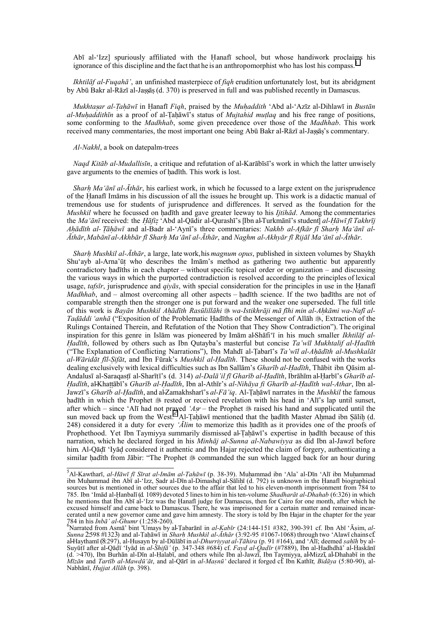Abī al-'Izz] spuriously affiliated with the Hanafī school, but whose handiwork proclaims his ignorance of this discipline and the fact that he is an anthropomorphist who has lost his compass.<sup>5</sup>

*Ikhtilāf al-Fuqahāí*, an unfinished masterpiece of *fiqh* erudition unfortunately lost, but its abridgment by Abū Bakr al-Rāzī al-Jassās (d. 370) is preserved in full and was published recently in Damascus.

*Mukhtasar al-Tahāwī* in Hanafī *Fiqh*, praised by the *Muhaddith* 'Abd al-'Azīz al-Dihlawī in *Bustān al-MuhaddithIn* as a proof of al-Tah awī's status of *Mujtahid mutlaa* and his free range of positions, some conforming to the *Madhhab*, some given precedence over those of the *Madhhab*. This work received many commentaries, the most important one being Abū Bakr al-Rāzī al-Jassās's commentary.

## *Al-Nakhl*, a book on datepalm-trees

*Naqd Kitāb al-Mudallisīn*, a critique and refutation of al-Karābīsīís work in which the latter unwisely gave arguments to the enemies of hadīth. This work is lost.

*Sharh. Maëānī al-Āthār*, his earliest work, in which he focussed to a large extent on the jurisprudence of the Hanafī Imāms in his discussion of all the issues he brought up. This work is a didactic manual of tremendous use for students of jurisprudence and differences. It served as the foundation for the *Mushkil* where he focussed on hadīth and gave greater leeway to his *Ijtihād*. Among the commentaries the *Ma*<sup>*c*</sup> $\bar{a}$ *n*<sup> $\bar{a}$ </sup> received: the *Hāfiz*  $\hat{c}$  Abd al-Qādir al-Qurashī's [Ibn al-Turkmānī's student] *al-Hāwī*  $\hat{f}$ *I Takhrīj* Ahādīth al- Tāhāwī and al-Badr al-'Aynī's three commentaries: Nakhb al-Afkār fī Sharh Ma'ānī al-Āthār, Mabānī al-Akhbār fī Sharh Ma 'ānī al-Āthār, and Naghm al-Akhyār fī Rijāl Ma 'ānī al-Āthār.

*Sharh. Mushkil al-Āthār*, a large, late work, his *magnum opus*, published in sixteen volumes by Shaykh Shu'ayb al-Arna'ūt who describes the Imām's method as gathering two authentic but apparently contradictory hadīths in each chapter – without specific topical order or organization – and discussing the various ways in which the purported contradiction is resolved according to the principles of lexical usage, *tafsīr*, jurisprudence and *qiyās*, with special consideration for the principles in use in the Hanafī *Madhhab*, and – almost overcoming all other aspects – hadīth science. If the two hadīths are not of comparable strength then the stronger one is put forward and the weaker one superseded. The full title of this work is Bayan Mushkil Ahādīth Rasūlillāhi & wa-Istikhrāji mā fīhi min al-Ahkāmi wa-Nafī al-*Tadāddi* 'anhā ("Exposition of the Problematic Hadīths of the Messenger of Allāh  $\frac{1}{2}$ , Extraction of the Rulings Contained Therein, and Refutation of the Notion that They Show Contradictionî). The original inspiration for this genre in Islām was pioneered by Imām al-Shāfiëī in his much smaller *Ikhtilāf al-Hadīth*, followed by others such as Ibn Qutayba's masterful but concise *Ta'wīl Mukhtalif al-Hadīth* ("The Explanation of Conflicting Narrations"), Ibn Mahdī al-Tabarī's *Ta'wīl al-Ahādīth al-Mushkalāt al-Wāridāt fīl-S. ifāt*, and Ibn Fūrakís *Mushkil al-H. adīth*. These should not be confused with the works dealing exclusively with lexical difficulties such as Ibn Sallām's *Gharīb al-Hadīth*, Thābit ibn Qāsim al-Andalusī al-Saraqastī al-Sharītī's (d. 314) *al-Dalā'il fī Gharīb al-Hadīth*, Ibrāhīm al-Harbī's *Gharīb al-*Hadīth, al-Khattābī's Gharīb al-Hadīth, Ibn al-Athīr's al-Nihāya fi Gharīb al-Hadīth wal-Athar, Ibn al-Jawzīís *Gharīb al-H. adīth*, and al-Zamakhsharīís *al-Fāíiq*. Al-T.ah.āwī narrates in the *Mushkil* the famous hadīth in which the Prophet  $\frac{1}{20}$  rested or received revelation with his head in 'Alī's lap until sunset, after which – since 'Alī had not prayed 'Asr – the Prophet  $\frac{1}{2}$  raised his hand and supplicated until the sun moved back up from the West.<sup>6</sup> Al-Tah $\bar{a}$ wī mentioned that the hadīth Master Ahmad ibn Sālih (d. 248) considered it a duty for every *'Alim* to memorize this hadīth as it provides one of the proofs of Prophethood. Yet Ibn Taymiyya summarily dismissed al-Tahawi's expertise in hadīth because of this narration, which he declared forged in his *Minhāj al-Sunna al-Nabawiyya* as did Ibn al-Jawzī before him. Al-Qādī 'Iyād considered it authentic and Ibn Hajar rejected the claim of forgery, authenticating a similar hadīth from Jābir: "The Prophet  $\otimes$  commanded the sun which lagged back for an hour during

s<br>5 Al-Kawtharī, *al-Hāwī fī Sīrat al-Imām al-Taḥāwī* (p. 38-39). Muḥammad ibn ʿAlaʾ al-Dīn ʿAlī ibn Muḥammad ibn Muhammad ibn Abī al-'Izz, Sadr al-Dīn al-Dīmashqī al-Sālihī (d. 792) is unknown in the Hanafī biographical sources but is mentioned in other sources due to the affair that led to his eleven-month imprisonment from 784 to 785. Ibn ëImād al-H. anbalī (d. 1089) devoted 5 linesto him in histen-volume *Shadharāt al-Dhahab* (6:326) in which he mentions that Ibn Abī al-'Izz was the Hanafī judge for Damascus, then for Cairo for one month, after which he excused himself and came back to Damascus. There, he was imprisoned for a certain matter and remained incarcerated until a new governor came and gave him amnesty. The story is told by Ibn Hajar in the chapter for the year

<sup>784</sup> in his *Inbā' al-Ghumr* (1:258-260).<br>"Narrated from Asmā' bint 'Umays by al-Tabarānī in *al-Kabīr* (24:144-151 #382, 390-391 cf. Ibn Abī 'Āṣim, *al-Sunna* 2:598 #1323) and al-T. ah. āwī in *Sharh. Mushkil al-Āthār* (3:92-95 #1067-1068) through two ëAlawī chains cf. al-Haythamī (8:297), al-Husayn by al-Dūlābī in *al-Dhurriyyat al-Tāhira* (p. 91 #164), and 'Alī; deemed *sahīh* by al-Suyūtī after al-Qādī 'Iyād in *al-Shifā'* (p. 347-348 #684) cf. *Fayd al-Qadīr* (#7889), Ibn al-Hadhdhāʾ al-Haskānī (d. >470), Ibn Burhān al-Dīn al-Halabī, and others while Ibn al-Jawzī, Ibn Taymiyya, al-Mizzī, al-Dhahabī in the Mizan and Tartib al-Mawdu at, and al-Qari in al-Masnu' declared it forged cf. Ibn Kathir, Bidaya (5:80-90), al-Nabhānī, *H. ujjat Allāh* (p. 398).